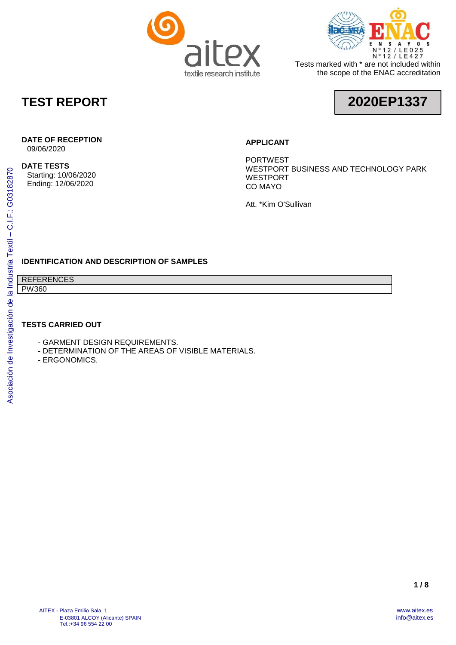



Tests marked with \* are not included within the scope of the ENAC accreditation

### **TEST REPORT**

# **2020EP1337**

#### **DATE OF RECEPTION**

09/06/2020

#### **DATE TESTS**

Starting: 10/06/2020 Ending: 12/06/2020

#### **APPLICANT**

PORTWEST WESTPORT BUSINESS AND TECHNOLOGY PARK WESTPORT CO MAYO

Att. \*Kim O'Sullivan

#### **IDENTIFICATION AND DESCRIPTION OF SAMPLES**

REFERENCES PW360

#### **TESTS CARRIED OUT**

- GARMENT DESIGN REQUIREMENTS.
- DETERMINATION OF THE AREAS OF VISIBLE MATERIALS.
- ERGONOMICS*.*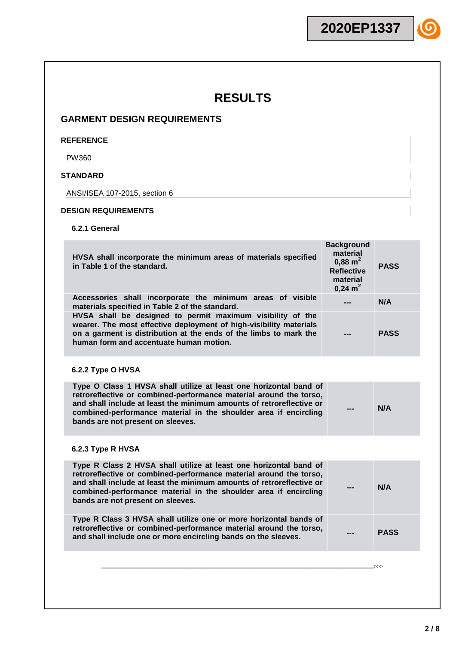#### **GARMENT DESIGN REQUIREMENTS**

#### **REFERENCE**

PW360

#### **STANDARD**

ANSI/ISEA 107-2015, section 6

#### **DESIGN REQUIREMENTS**

**6.2.1 General**

| HVSA shall incorporate the minimum areas of materials specified<br>in Table 1 of the standard.                                                                                                                                                                                                                           | <b>Background</b><br>material<br>$0,88 \; \text{m}^2$<br><b>Reflective</b><br>material<br>$0,24 \text{ m}^2$ | <b>PASS</b> |
|--------------------------------------------------------------------------------------------------------------------------------------------------------------------------------------------------------------------------------------------------------------------------------------------------------------------------|--------------------------------------------------------------------------------------------------------------|-------------|
| Accessories shall incorporate the minimum areas of visible<br>materials specified in Table 2 of the standard.                                                                                                                                                                                                            |                                                                                                              | N/A         |
| HVSA shall be designed to permit maximum visibility of the<br>wearer. The most effective deployment of high-visibility materials<br>on a garment is distribution at the ends of the limbs to mark the<br>human form and accentuate human motion.                                                                         |                                                                                                              | <b>PASS</b> |
| 6.2.2 Type O HVSA                                                                                                                                                                                                                                                                                                        |                                                                                                              |             |
| Type O Class 1 HVSA shall utilize at least one horizontal band of<br>retroreflective or combined-performance material around the torso,<br>and shall include at least the minimum amounts of retroreflective or<br>combined-performance material in the shoulder area if encircling<br>bands are not present on sleeves. |                                                                                                              | N/A         |
| 6.2.3 Type R HVSA                                                                                                                                                                                                                                                                                                        |                                                                                                              |             |
| Type R Class 2 HVSA shall utilize at least one horizontal band of<br>retroreflective or combined-performance material around the torso,<br>and shall include at least the minimum amounts of retroreflective or<br>combined-performance material in the shoulder area if encircling<br>bands are not present on sleeves. |                                                                                                              | N/A         |
| Type R Class 3 HVSA shall utilize one or more horizontal bands of<br>retroreflective or combined-performance material around the torso,<br>and shall include one or more encircling bands on the sleeves.                                                                                                                |                                                                                                              | <b>PASS</b> |
|                                                                                                                                                                                                                                                                                                                          |                                                                                                              | >>          |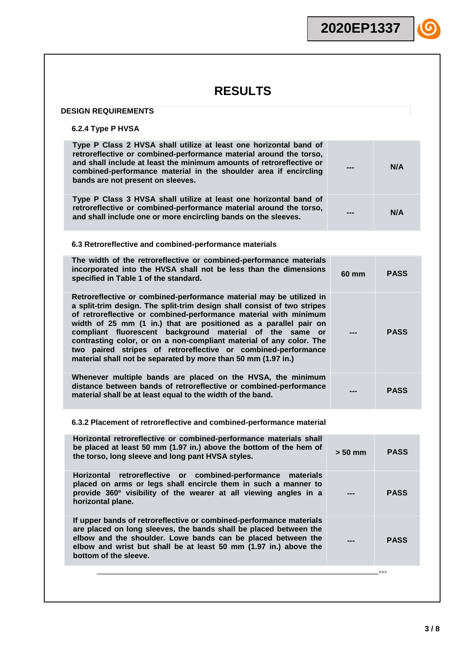#### **DESIGN REQUIREMENTS**

#### **6.2.4 Type P HVSA**

| $0.2.4$ Type F $H$ V $3H$                                                                                                                                                                                                                                                                                                                                                                                                                                                                                                                                   |           |             |
|-------------------------------------------------------------------------------------------------------------------------------------------------------------------------------------------------------------------------------------------------------------------------------------------------------------------------------------------------------------------------------------------------------------------------------------------------------------------------------------------------------------------------------------------------------------|-----------|-------------|
| Type P Class 2 HVSA shall utilize at least one horizontal band of<br>retroreflective or combined-performance material around the torso,<br>and shall include at least the minimum amounts of retroreflective or<br>combined-performance material in the shoulder area if encircling<br>bands are not present on sleeves.                                                                                                                                                                                                                                    |           | N/A         |
| Type P Class 3 HVSA shall utilize at least one horizontal band of<br>retroreflective or combined-performance material around the torso,<br>and shall include one or more encircling bands on the sleeves.                                                                                                                                                                                                                                                                                                                                                   |           | N/A         |
| 6.3 Retroreflective and combined-performance materials                                                                                                                                                                                                                                                                                                                                                                                                                                                                                                      |           |             |
| The width of the retroreflective or combined-performance materials<br>incorporated into the HVSA shall not be less than the dimensions<br>specified in Table 1 of the standard.                                                                                                                                                                                                                                                                                                                                                                             | 60 mm     | <b>PASS</b> |
| Retroreflective or combined-performance material may be utilized in<br>a split-trim design. The split-trim design shall consist of two stripes<br>of retroreflective or combined-performance material with minimum<br>width of 25 mm (1 in.) that are positioned as a parallel pair on<br>compliant fluorescent background material of the same or<br>contrasting color, or on a non-compliant material of any color. The<br>two paired stripes of retroreflective or combined-performance<br>material shall not be separated by more than 50 mm (1.97 in.) |           | <b>PASS</b> |
| Whenever multiple bands are placed on the HVSA, the minimum<br>distance between bands of retroreflective or combined-performance<br>material shall be at least equal to the width of the band.                                                                                                                                                                                                                                                                                                                                                              |           | <b>PASS</b> |
| 6.3.2 Placement of retroreflective and combined-performance material                                                                                                                                                                                                                                                                                                                                                                                                                                                                                        |           |             |
| Horizontal retroreflective or combined-performance materials shall<br>be placed at least 50 mm (1.97 in.) above the bottom of the hem of<br>the torso, long sleeve and long pant HVSA styles.                                                                                                                                                                                                                                                                                                                                                               | $> 50$ mm | <b>PASS</b> |
| Horizontal<br>retroreflective or combined-performance<br>materials<br>placed on arms or legs shall encircle them in such a manner to<br>provide 360° visibility of the wearer at all viewing angles in a<br>horizontal plane.                                                                                                                                                                                                                                                                                                                               |           | <b>PASS</b> |
| If upper bands of retroreflective or combined-performance materials<br>are placed on long sleeves, the bands shall be placed between the<br>elbow and the shoulder. Lowe bands can be placed between the<br>elbow and wrist but shall be at least 50 mm (1.97 in.) above the<br>bottom of the sleeve.                                                                                                                                                                                                                                                       |           | <b>PASS</b> |
|                                                                                                                                                                                                                                                                                                                                                                                                                                                                                                                                                             |           | ->>>        |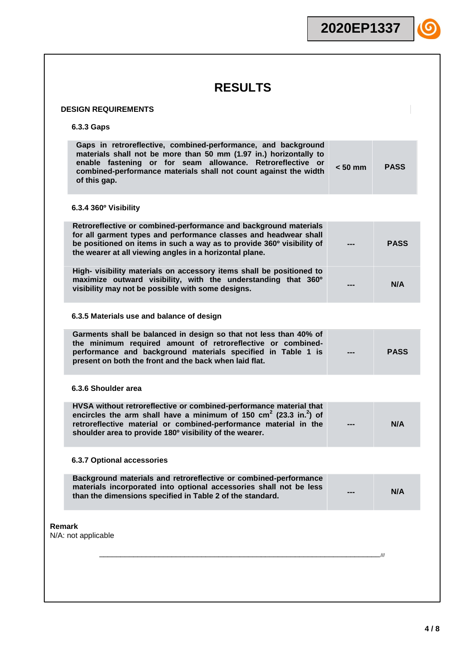|                                                                                                                                                                                                                                                                                              | 2020EP1337 |           |             |  |
|----------------------------------------------------------------------------------------------------------------------------------------------------------------------------------------------------------------------------------------------------------------------------------------------|------------|-----------|-------------|--|
|                                                                                                                                                                                                                                                                                              |            |           |             |  |
| <b>RESULTS</b>                                                                                                                                                                                                                                                                               |            |           |             |  |
|                                                                                                                                                                                                                                                                                              |            |           |             |  |
| <b>DESIGN REQUIREMENTS</b>                                                                                                                                                                                                                                                                   |            |           |             |  |
| 6.3.3 Gaps                                                                                                                                                                                                                                                                                   |            |           |             |  |
| Gaps in retroreflective, combined-performance, and background<br>materials shall not be more than 50 mm (1.97 in.) horizontally to<br>enable fastening or for seam allowance. Retroreflective or<br>combined-performance materials shall not count against the width<br>of this gap.         |            | $< 50$ mm | <b>PASS</b> |  |
| 6.3.4 360° Visibility                                                                                                                                                                                                                                                                        |            |           |             |  |
| Retroreflective or combined-performance and background materials<br>for all garment types and performance classes and headwear shall<br>be positioned on items in such a way as to provide 360° visibility of<br>the wearer at all viewing angles in a horizontal plane.                     |            |           | <b>PASS</b> |  |
| High- visibility materials on accessory items shall be positioned to<br>maximize outward visibility, with the understanding that 360°<br>visibility may not be possible with some designs.                                                                                                   |            |           | N/A         |  |
| 6.3.5 Materials use and balance of design                                                                                                                                                                                                                                                    |            |           |             |  |
| Garments shall be balanced in design so that not less than 40% of<br>the minimum required amount of retroreflective or combined-<br>performance and background materials specified in Table 1 is<br>present on both the front and the back when laid flat.                                   |            |           | <b>PASS</b> |  |
| 6.3.6 Shoulder area                                                                                                                                                                                                                                                                          |            |           |             |  |
| HVSA without retroreflective or combined-performance material that<br>encircles the arm shall have a minimum of 150 $\text{cm}^2$ (23.3 in. <sup>2</sup> ) of<br>retroreflective material or combined-performance material in the<br>shoulder area to provide 180° visibility of the wearer. |            |           | N/A         |  |
| <b>6.3.7 Optional accessories</b>                                                                                                                                                                                                                                                            |            |           |             |  |
| Background materials and retroreflective or combined-performance<br>materials incorporated into optional accessories shall not be less<br>than the dimensions specified in Table 2 of the standard.                                                                                          |            |           | N/A         |  |
| Remark<br>N/A: not applicable                                                                                                                                                                                                                                                                |            |           |             |  |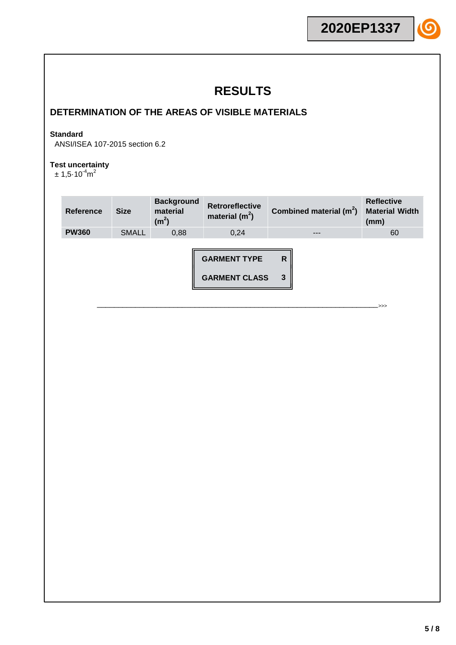### **DETERMINATION OF THE AREAS OF VISIBLE MATERIALS**

#### **Standard**

ANSI/ISEA 107-2015 section 6.2

#### **Test uncertainty**

 $\pm$  1,5 $\cdot$ 10 $^{-4}$ m $^2$ 

| <b>Reference</b> | <b>Size</b>  | <b>Background</b><br>material<br>(m <sup>2</sup> ) | <b>Retroreflective</b><br>material $(m^2)$  | Combined material $(m^2)$ | <b>Reflective</b><br><b>Material Width</b><br>(mm) |
|------------------|--------------|----------------------------------------------------|---------------------------------------------|---------------------------|----------------------------------------------------|
| <b>PW360</b>     | <b>SMALL</b> | 0,88                                               | 0,24                                        | ---                       | 60                                                 |
|                  |              |                                                    | <b>GARMENT TYPE</b><br><b>GARMENT CLASS</b> | R<br>3                    | .>>>                                               |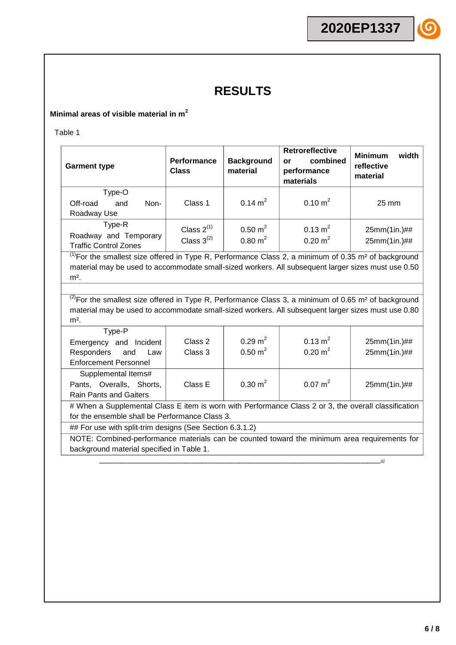#### **Minimal areas of visible material in m<sup>2</sup>**

Table 1

| <b>Garment type</b>                                             | <b>Performance</b><br><b>Class</b> | <b>Background</b><br>material            | <b>Retroreflective</b><br>combined<br>or<br>performance<br>materials | <b>Minimum</b><br>width<br>reflective<br>material |
|-----------------------------------------------------------------|------------------------------------|------------------------------------------|----------------------------------------------------------------------|---------------------------------------------------|
| Type-O<br>Non-<br>Off-road<br>and<br>Roadway Use                | Class 1                            | $0.14 \text{ m}^2$                       | $0.10 \text{ m}^2$                                                   | $25 \text{ mm}$                                   |
| Type-R<br>Roadway and Temporary<br><b>Traffic Control Zones</b> | Class $2^{(1)}$<br>Class $3^{(2)}$ | $0.50 \text{ m}^2$<br>$0.80 \text{ m}^2$ | $0.13 \text{ m}^2$<br>$0.20 \text{ m}^2$                             | 25mm(1in.)##<br>25mm(1in.)##                      |

 $<sup>(1)</sup>$  For the smallest size offered in Type R, Performance Class 2, a minimum of 0.35 m<sup>2</sup> of background</sup> material may be used to accommodate small-sized workers. All subsequent larger sizes must use 0.50  $m<sup>2</sup>$ .

 $^{(2)}$ For the smallest size offered in Type R, Performance Class 3, a minimum of 0.65 m<sup>2</sup> of background material may be used to accommodate small-sized workers. All subsequent larger sizes must use 0.80  $m<sup>2</sup>$ .

| Type-P<br>Emergency and Incident<br>Responders and Law<br><b>Enforcement Personnel</b>                                                                 | Class 2<br>Class 3 | $0.29 \text{ m}^2$<br>$0.50 \text{ m}^2$ | $0.13 \text{ m}^2$<br>$0.20 \text{ m}^2$ | 25mm(1in.)##<br>25mm(1in.)## |  |  |
|--------------------------------------------------------------------------------------------------------------------------------------------------------|--------------------|------------------------------------------|------------------------------------------|------------------------------|--|--|
| Supplemental Items#<br>Pants, Overalls, Shorts,<br><b>Rain Pants and Gaiters</b>                                                                       | Class E            | $0.30 \text{ m}^2$                       | $0.07 \text{ m}^2$                       | 25mm(1in.)##                 |  |  |
| # When a Supplemental Class E item is worn with Performance Class 2 or 3, the overall classification<br>for the ensemble shall be Performance Class 3. |                    |                                          |                                          |                              |  |  |

## For use with split-trim designs (See Section 6.3.1.2)

NOTE: Combined-performance materials can be counted toward the minimum area requirements for background material specified in Table 1.

\_\_\_\_\_\_\_\_\_\_\_\_\_\_\_\_\_\_\_\_\_\_\_\_\_\_\_\_\_\_\_\_\_\_\_\_\_\_\_\_\_\_\_\_\_\_\_\_\_\_\_\_\_\_\_\_\_\_\_\_\_\_\_\_\_\_///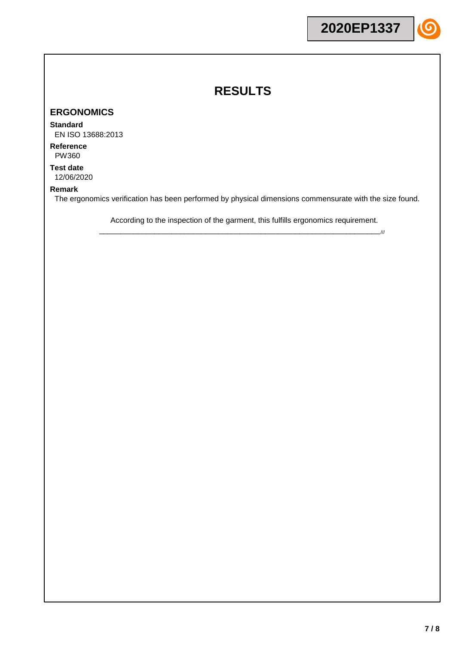#### **ERGONOMICS**

#### **Standard**

EN ISO 13688:2013

**Reference** PW360

**Test date** 12/06/2020

#### **Remark**

The ergonomics verification has been performed by physical dimensions commensurate with the size found.

According to the inspection of the garment, this fulfills ergonomics requirement. \_\_\_\_\_\_\_\_\_\_\_\_\_\_\_\_\_\_\_\_\_\_\_\_\_\_\_\_\_\_\_\_\_\_\_\_\_\_\_\_\_\_\_\_\_\_\_\_\_\_\_\_\_\_\_\_\_\_\_\_\_\_\_\_\_\_///